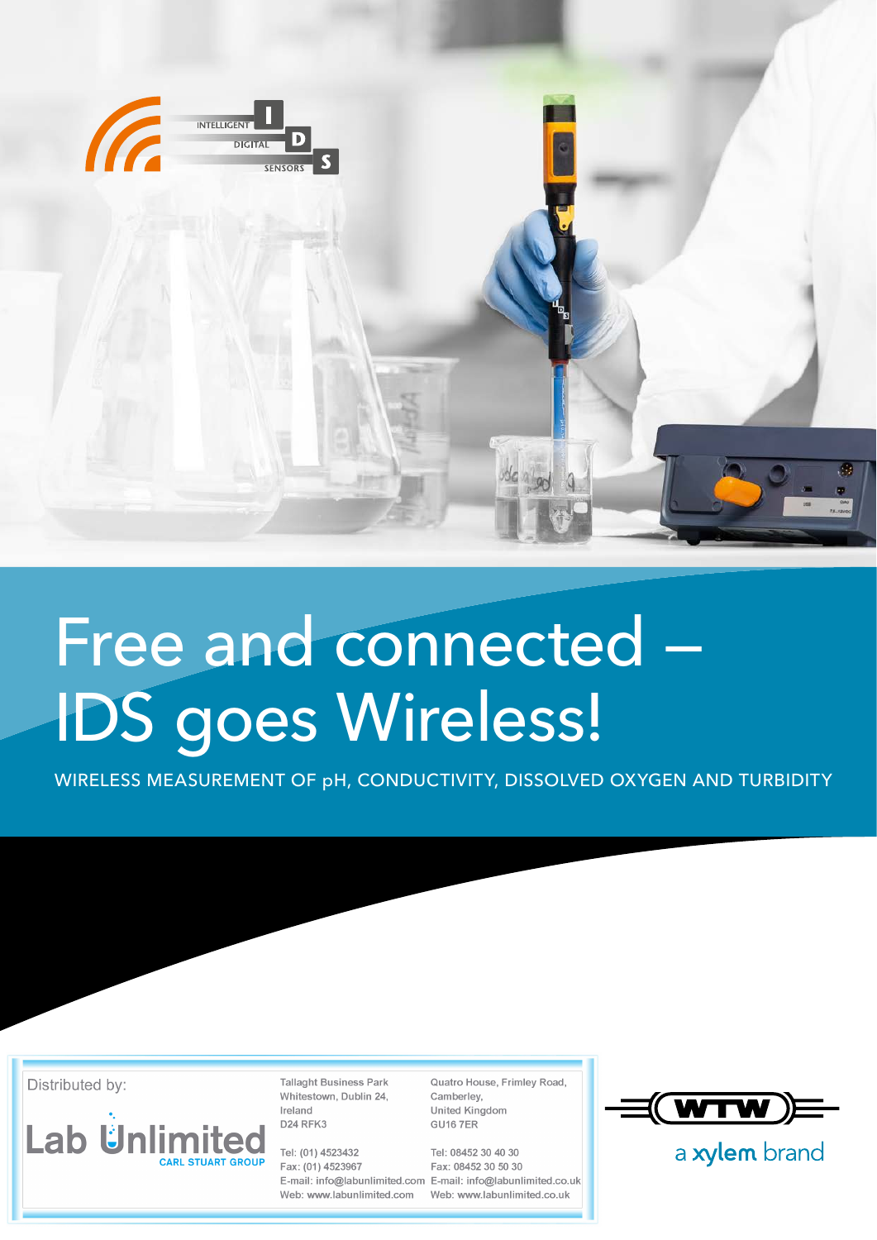

## Free and connected — IDS goes Wireless!

WIRELESS MEASUREMENT OF pH, CONDUCTIVITY, DISSOLVED OXYGEN AND TURBIDITY

Distributed by:



**Tallaght Business Park** Whitestown, Dublin 24, Ireland D24 RFK3

Tel: (01) 4523432 Fax: (01) 4523967 Web: www.labunlimited.com Quatro House, Frimley Road, Camberley, United Kingdom **GU16 7ER** 

Tel: 08452 30 40 30 Fax: 08452 30 50 30 E-mail: info@labunlimited.com E-mail: info@labunlimited.co.uk Web: www.labunlimited.co.uk



a xylem brand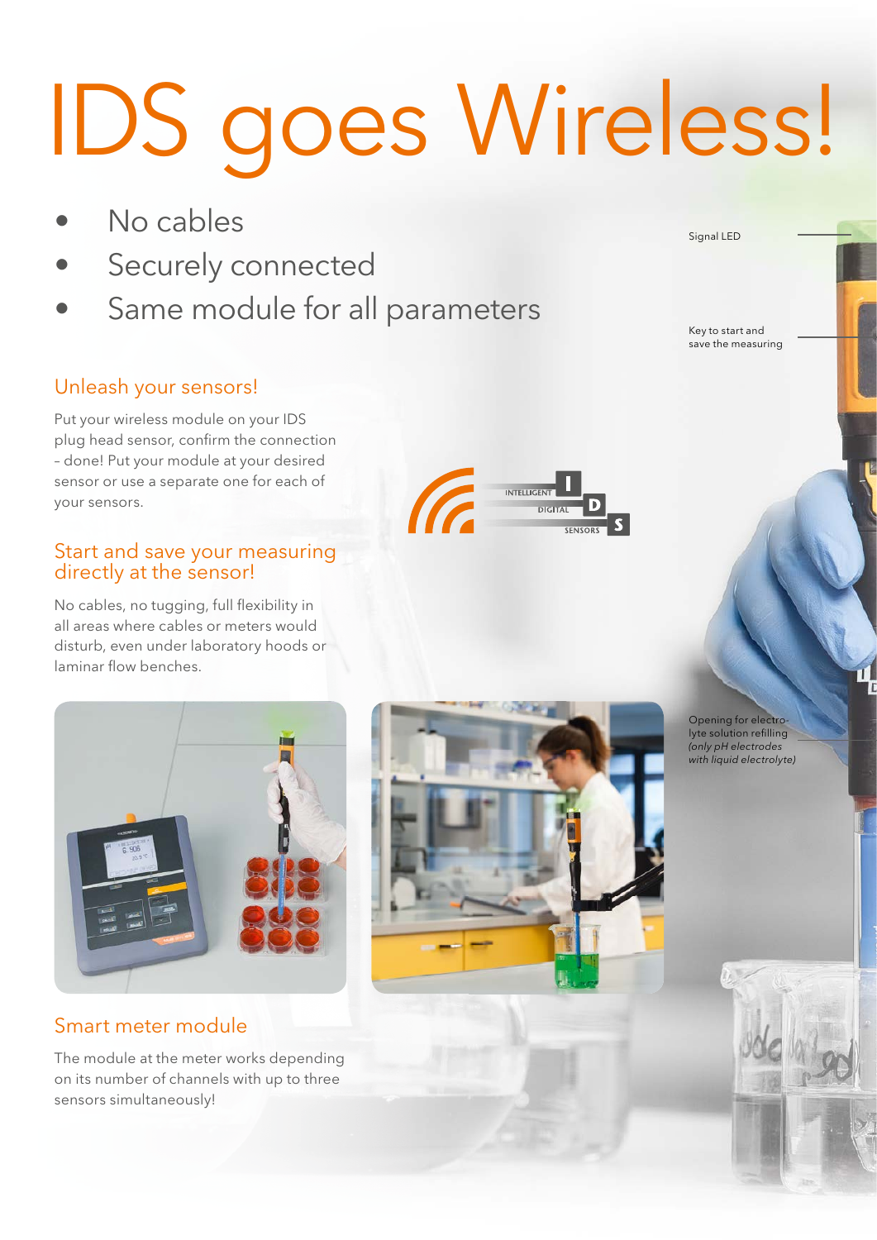# IDS goes Wireless!

- No cables
- Securely connected
- Same module for all parameters

Signal LED

Key to start and save the measuring

### Unleash your sensors!

Put your wireless module on your IDS plug head sensor, confirm the connection – done! Put your module at your desired sensor or use a separate one for each of your sensors.

#### Start and save your measuring directly at the sensor!

No cables, no tugging, full flexibility in all areas where cables or meters would disturb, even under laboratory hoods or laminar flow benches.



#### Smart meter module

The module at the meter works depending on its number of channels with up to three sensors simultaneously!





Opening for electrolyte solution refilling *(only pH electrodes with liquid electrolyte)*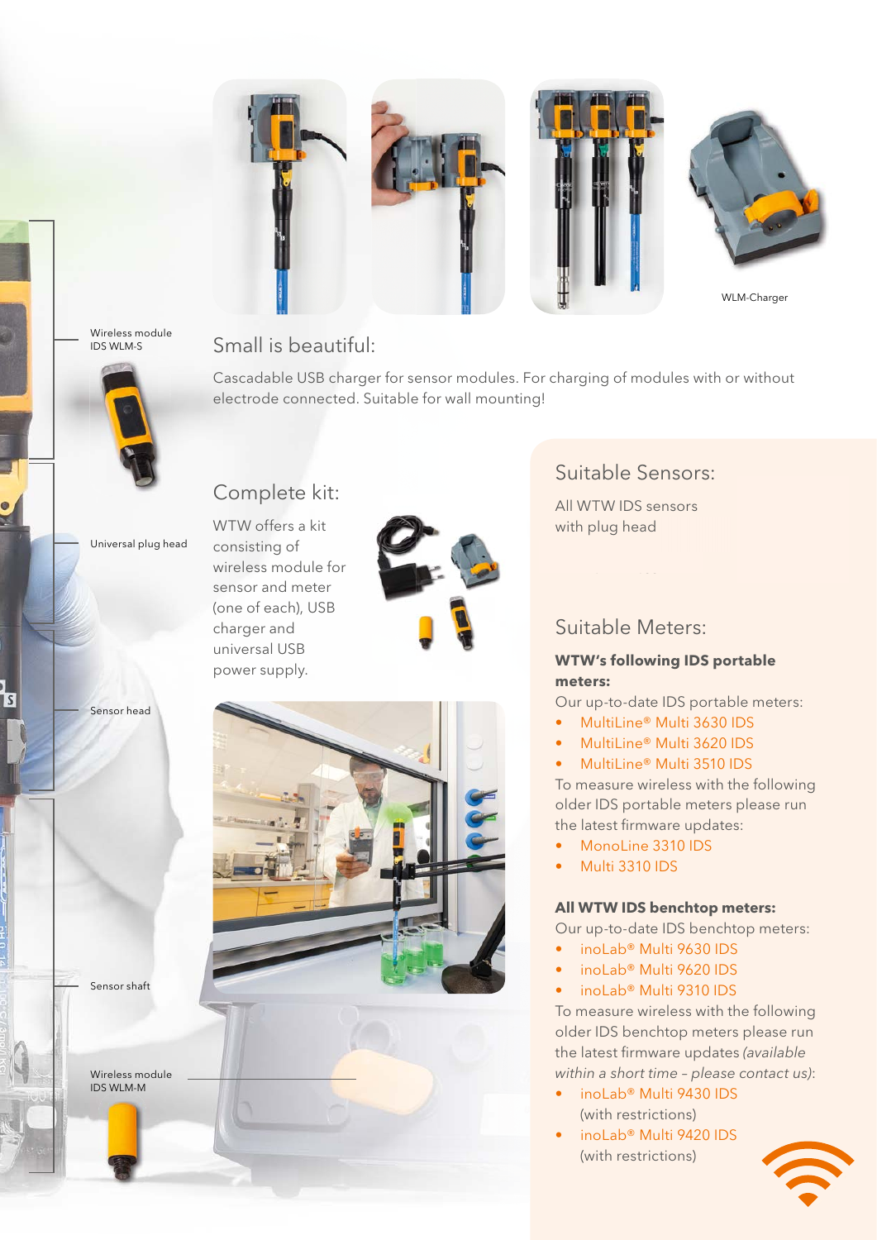

Wireless module IDS WLM-S



Universal plug head

Sensor head

Small is beautiful:

Cascadable USB charger for sensor modules. For charging of modules with or without electrode connected. Suitable for wall mounting!

#### WTW offers a kit

consisting of wireless module for sensor and meter (one of each), USB charger and universal USB power supply.

Complete kit:



Sensor shaft

Wireless module IDS WLM-M

#### Suitable Sensors:

All WTW IDS sensors with plug head

#### Suitable Meters:

#### **WTW's following IDS portable meters:**

Our up-to-date IDS portable meters:

- MultiLine® Multi 3630 IDS
- MultiLine® Multi 3620 IDS
- MultiLine® Multi 3510 IDS

To measure wireless with the following older IDS portable meters please run the latest firmware updates:

- MonoLine 3310 IDS
- Multi 3310 IDS

#### **All WTW IDS benchtop meters:**

Our up-to-date IDS benchtop meters:

- inoLab® Multi 9630 IDS
- inoLab® Multi 9620 IDS
- inoLab® Multi 9310 IDS

To measure wireless with the following older IDS benchtop meters please run the latest firmware updates *(available within a short time – please contact us)*:

- inoLab® Multi 9430 IDS (with restrictions)
- inoLab® Multi 9420 IDS (with restrictions)